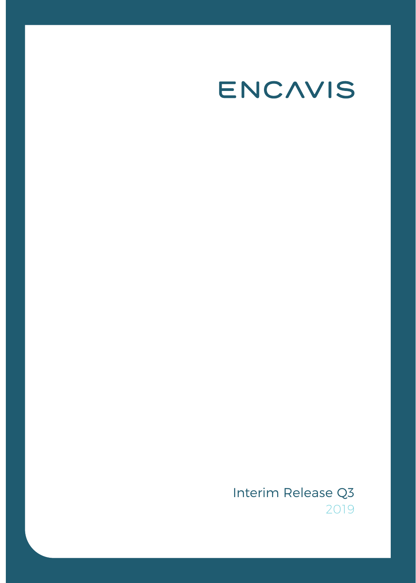# ENCAVIS

Interim Release Q3 2019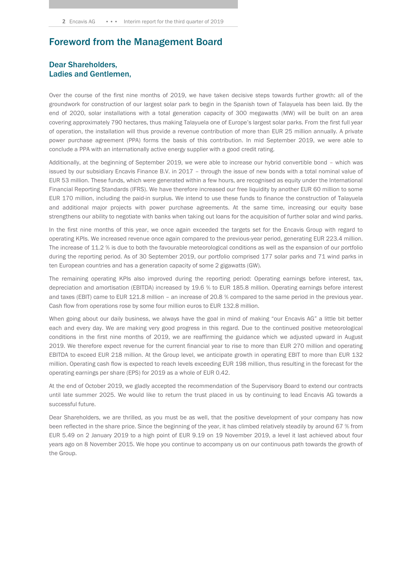# Foreword from the Management Board

#### Dear Shareholders, Ladies and Gentlemen,

Over the course of the first nine months of 2019, we have taken decisive steps towards further growth: all of the groundwork for construction of our largest solar park to begin in the Spanish town of Talayuela has been laid. By the end of 2020, solar installations with a total generation capacity of 300 megawatts (MW) will be built on an area covering approximately 790 hectares, thus making Talayuela one of Europe's largest solar parks. From the first full year of operation, the installation will thus provide a revenue contribution of more than EUR 25 million annually. A private power purchase agreement (PPA) forms the basis of this contribution. In mid September 2019, we were able to conclude a PPA with an internationally active energy supplier with a good credit rating.

Additionally, at the beginning of September 2019, we were able to increase our hybrid convertible bond – which was issued by our subsidiary Encavis Finance B.V. in 2017 – through the issue of new bonds with a total nominal value of EUR 53 million. These funds, which were generated within a few hours, are recognised as equity under the International Financial Reporting Standards (IFRS). We have therefore increased our free liquidity by another EUR 60 million to some EUR 170 million, including the paid-in surplus. We intend to use these funds to finance the construction of Talayuela and additional major projects with power purchase agreements. At the same time, increasing our equity base strengthens our ability to negotiate with banks when taking out loans for the acquisition of further solar and wind parks.

In the first nine months of this year, we once again exceeded the targets set for the Encavis Group with regard to operating KPIs. We increased revenue once again compared to the previous-year period, generating EUR 223.4 million. The increase of 11.2 % is due to both the favourable meteorological conditions as well as the expansion of our portfolio during the reporting period. As of 30 September 2019, our portfolio comprised 177 solar parks and 71 wind parks in ten European countries and has a generation capacity of some 2 gigawatts (GW).

The remaining operating KPIs also improved during the reporting period: Operating earnings before interest, tax, depreciation and amortisation (EBITDA) increased by 19.6 % to EUR 185.8 million. Operating earnings before interest and taxes (EBIT) came to EUR 121.8 million – an increase of 20.8 % compared to the same period in the previous year. Cash flow from operations rose by some four million euros to EUR 132.8 million.

When going about our daily business, we always have the goal in mind of making "our Encavis AG" a little bit better each and every day. We are making very good progress in this regard. Due to the continued positive meteorological conditions in the first nine months of 2019, we are reaffirming the guidance which we adjusted upward in August 2019. We therefore expect revenue for the current financial year to rise to more than EUR 270 million and operating EBITDA to exceed EUR 218 million. At the Group level, we anticipate growth in operating EBIT to more than EUR 132 million. Operating cash flow is expected to reach levels exceeding EUR 198 million, thus resulting in the forecast for the operating earnings per share (EPS) for 2019 as a whole of EUR 0.42.

At the end of October 2019, we gladly accepted the recommendation of the Supervisory Board to extend our contracts until late summer 2025. We would like to return the trust placed in us by continuing to lead Encavis AG towards a successful future.

Dear Shareholders, we are thrilled, as you must be as well, that the positive development of your company has now been reflected in the share price. Since the beginning of the year, it has climbed relatively steadily by around 67 % from EUR 5.49 on 2 January 2019 to a high point of EUR 9.19 on 19 November 2019, a level it last achieved about four years ago on 8 November 2015. We hope you continue to accompany us on our continuous path towards the growth of the Group.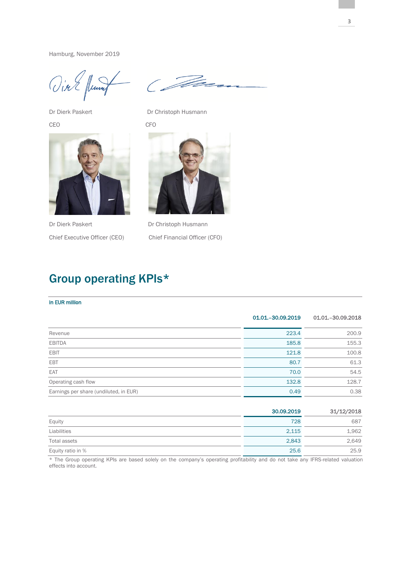Hamburg, November 2019

Vier flums

CEO CFO



Dr Dierk Paskert Dr Christoph Husmann Chief Executive Officer (CEO) Chief Financial Officer (CFO)



Dr Dierk Paskert Dr Christoph Husmann



# Group operating KPIs\*

#### in EUR million

|                                        | 01.01. - 30.09.2019 | 01.01. - 30.09.2018 |  |
|----------------------------------------|---------------------|---------------------|--|
| Revenue                                | 223.4               | 200.9               |  |
| <b>EBITDA</b>                          | 185.8               | 155.3               |  |
| <b>EBIT</b>                            | 121.8               | 100.8               |  |
| <b>EBT</b>                             | 80.7                | 61.3                |  |
| EAT                                    | 70.0                | 54.5                |  |
| Operating cash flow                    | 132.8               | 128.7               |  |
| Earnings per share (undiluted, in EUR) | 0.49                | 0.38                |  |
|                                        |                     |                     |  |

|                   | 30.09.2019 | 31/12/2018 |
|-------------------|------------|------------|
| Equity            | 728        | 687        |
| Liabilities       | 2,115      | 1,962      |
| Total assets      | 2,843      | 2,649      |
| Equity ratio in % | 25.6       | 25.9       |

\* The Group operating KPIs are based solely on the company's operating profitability and do not take any IFRS-related valuation effects into account.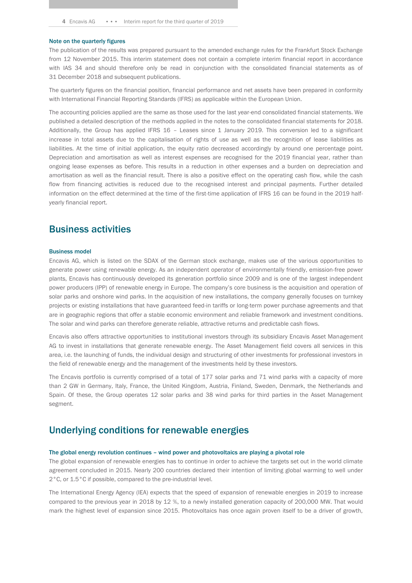#### Note on the quarterly figures

The publication of the results was prepared pursuant to the amended exchange rules for the Frankfurt Stock Exchange from 12 November 2015. This interim statement does not contain a complete interim financial report in accordance with IAS 34 and should therefore only be read in conjunction with the consolidated financial statements as of 31 December 2018 and subsequent publications.

The quarterly figures on the financial position, financial performance and net assets have been prepared in conformity with International Financial Reporting Standards (IFRS) as applicable within the European Union.

The accounting policies applied are the same as those used for the last year-end consolidated financial statements. We published a detailed description of the methods applied in the notes to the consolidated financial statements for 2018. Additionally, the Group has applied IFRS 16 – Leases since 1 January 2019. This conversion led to a significant increase in total assets due to the capitalisation of rights of use as well as the recognition of lease liabilities as liabilities. At the time of initial application, the equity ratio decreased accordingly by around one percentage point. Depreciation and amortisation as well as interest expenses are recognised for the 2019 financial year, rather than ongoing lease expenses as before. This results in a reduction in other expenses and a burden on depreciation and amortisation as well as the financial result. There is also a positive effect on the operating cash flow, while the cash flow from financing activities is reduced due to the recognised interest and principal payments. Further detailed information on the effect determined at the time of the first-time application of IFRS 16 can be found in the 2019 halfyearly financial report.

### Business activities

#### Business model

Encavis AG, which is listed on the SDAX of the German stock exchange, makes use of the various opportunities to generate power using renewable energy. As an independent operator of environmentally friendly, emission-free power plants, Encavis has continuously developed its generation portfolio since 2009 and is one of the largest independent power producers (IPP) of renewable energy in Europe. The company's core business is the acquisition and operation of solar parks and onshore wind parks. In the acquisition of new installations, the company generally focuses on turnkey projects or existing installations that have guaranteed feed-in tariffs or long-term power purchase agreements and that are in geographic regions that offer a stable economic environment and reliable framework and investment conditions. The solar and wind parks can therefore generate reliable, attractive returns and predictable cash flows.

Encavis also offers attractive opportunities to institutional investors through its subsidiary Encavis Asset Management AG to invest in installations that generate renewable energy. The Asset Management field covers all services in this area, i.e. the launching of funds, the individual design and structuring of other investments for professional investors in the field of renewable energy and the management of the investments held by these investors.

The Encavis portfolio is currently comprised of a total of 177 solar parks and 71 wind parks with a capacity of more than 2 GW in Germany, Italy, France, the United Kingdom, Austria, Finland, Sweden, Denmark, the Netherlands and Spain. Of these, the Group operates 12 solar parks and 38 wind parks for third parties in the Asset Management segment.

### Underlying conditions for renewable energies

#### The global energy revolution continues – wind power and photovoltaics are playing a pivotal role

The global expansion of renewable energies has to continue in order to achieve the targets set out in the world climate agreement concluded in 2015. Nearly 200 countries declared their intention of limiting global warming to well under 2°C, or 1.5°C if possible, compared to the pre-industrial level.

The International Energy Agency (IEA) expects that the speed of expansion of renewable energies in 2019 to increase compared to the previous year in 2018 by 12 %, to a newly installed generation capacity of 200,000 MW. That would mark the highest level of expansion since 2015. Photovoltaics has once again proven itself to be a driver of growth,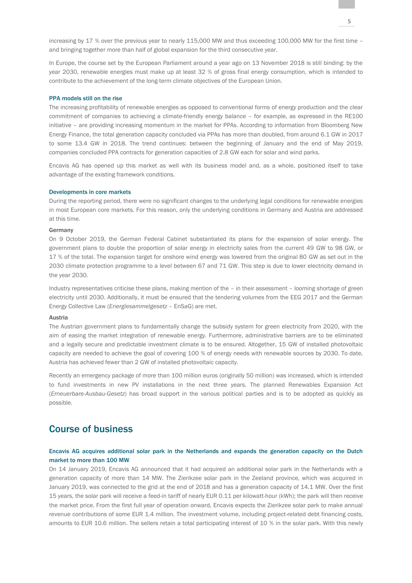increasing by 17 % over the previous year to nearly 115,000 MW and thus exceeding 100,000 MW for the first time – and bringing together more than half of global expansion for the third consecutive year.

In Europe, the course set by the European Parliament around a year ago on 13 November 2018 is still binding: by the year 2030, renewable energies must make up at least 32 % of gross final energy consumption, which is intended to contribute to the achievement of the long-term climate objectives of the European Union.

#### PPA models still on the rise

The increasing profitability of renewable energies as opposed to conventional forms of energy production and the clear commitment of companies to achieving a climate-friendly energy balance – for example, as expressed in the RE100 initiative – are providing increasing momentum in the market for PPAs. According to information from Bloomberg New Energy Finance, the total generation capacity concluded via PPAs has more than doubled, from around 6.1 GW in 2017 to some 13.4 GW in 2018. The trend continues: between the beginning of January and the end of May 2019, companies concluded PPA contracts for generation capacities of 2.8 GW each for solar and wind parks.

Encavis AG has opened up this market as well with its business model and, as a whole, positioned itself to take advantage of the existing framework conditions.

#### Developments in core markets

During the reporting period, there were no significant changes to the underlying legal conditions for renewable energies in most European core markets. For this reason, only the underlying conditions in Germany and Austria are addressed at this time.

#### Germany

On 9 October 2019, the German Federal Cabinet substantiated its plans for the expansion of solar energy. The government plans to double the proportion of solar energy in electricity sales from the current 49 GW to 98 GW, or 17 % of the total. The expansion target for onshore wind energy was lowered from the original 80 GW as set out in the 2030 climate protection programme to a level between 67 and 71 GW. This step is due to lower electricity demand in the year 2030.

Industry representatives criticise these plans, making mention of the – in their assessment – looming shortage of green electricity until 2030. Additionally, it must be ensured that the tendering volumes from the EEG 2017 and the German Energy Collective Law (*Energiesammelgesetz* – EnSaG) are met.

#### Austria

The Austrian government plans to fundamentally change the subsidy system for green electricity from 2020, with the aim of easing the market integration of renewable energy. Furthermore, administrative barriers are to be eliminated and a legally secure and predictable investment climate is to be ensured. Altogether, 15 GW of installed photovoltaic capacity are needed to achieve the goal of covering 100 % of energy needs with renewable sources by 2030. To date, Austria has achieved fewer than 2 GW of installed photovoltaic capacity.

Recently an emergency package of more than 100 million euros (originally 50 million) was increased, which is intended to fund investments in new PV installations in the next three years. The planned Renewables Expansion Act (*Erneuerbare-Ausbau-Gesetz*) has broad support in the various political parties and is to be adopted as quickly as possible.

### Course of business

#### Encavis AG acquires additional solar park in the Netherlands and expands the generation capacity on the Dutch market to more than 100 MW

On 14 January 2019, Encavis AG announced that it had acquired an additional solar park in the Netherlands with a generation capacity of more than 14 MW. The Zierikzee solar park in the Zeeland province, which was acquired in January 2019, was connected to the grid at the end of 2018 and has a generation capacity of 14.1 MW. Over the first 15 years, the solar park will receive a feed-in tariff of nearly EUR 0.11 per kilowatt-hour (kWh); the park will then receive the market price. From the first full year of operation onward, Encavis expects the Zierikzee solar park to make annual revenue contributions of some EUR 1.4 million. The investment volume, including project-related debt financing costs, amounts to EUR 10.6 million. The sellers retain a total participating interest of 10 % in the solar park. With this newly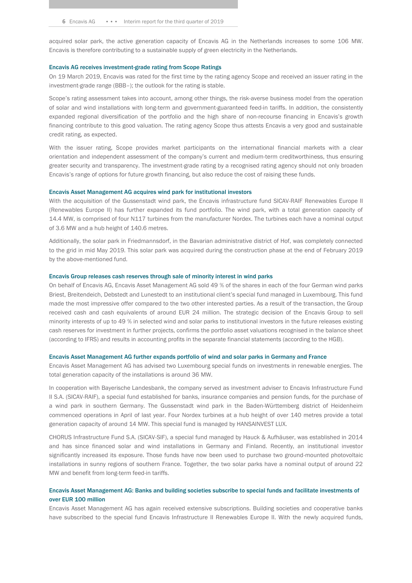acquired solar park, the active generation capacity of Encavis AG in the Netherlands increases to some 106 MW. Encavis is therefore contributing to a sustainable supply of green electricity in the Netherlands.

#### Encavis AG receives investment-grade rating from Scope Ratings

On 19 March 2019, Encavis was rated for the first time by the rating agency Scope and received an issuer rating in the investment-grade range (BBB–); the outlook for the rating is stable.

Scope's rating assessment takes into account, among other things, the risk-averse business model from the operation of solar and wind installations with long-term and government-guaranteed feed-in tariffs. In addition, the consistently expanded regional diversification of the portfolio and the high share of non-recourse financing in Encavis's growth financing contribute to this good valuation. The rating agency Scope thus attests Encavis a very good and sustainable credit rating, as expected.

With the issuer rating, Scope provides market participants on the international financial markets with a clear orientation and independent assessment of the company's current and medium-term creditworthiness, thus ensuring greater security and transparency. The investment-grade rating by a recognised rating agency should not only broaden Encavis's range of options for future growth financing, but also reduce the cost of raising these funds.

#### Encavis Asset Management AG acquires wind park for institutional investors

With the acquisition of the Gussenstadt wind park, the Encavis infrastructure fund SICAV-RAIF Renewables Europe II (Renewables Europe II) has further expanded its fund portfolio. The wind park, with a total generation capacity of 14.4 MW, is comprised of four N117 turbines from the manufacturer Nordex. The turbines each have a nominal output of 3.6 MW and a hub height of 140.6 metres.

Additionally, the solar park in Friedmannsdorf, in the Bavarian administrative district of Hof, was completely connected to the grid in mid May 2019. This solar park was acquired during the construction phase at the end of February 2019 by the above-mentioned fund.

#### Encavis Group releases cash reserves through sale of minority interest in wind parks

On behalf of Encavis AG, Encavis Asset Management AG sold 49 % of the shares in each of the four German wind parks Briest, Breitendeich, Debstedt and Lunestedt to an institutional client's special fund managed in Luxembourg. This fund made the most impressive offer compared to the two other interested parties. As a result of the transaction, the Group received cash and cash equivalents of around EUR 24 million. The strategic decision of the Encavis Group to sell minority interests of up to 49 % in selected wind and solar parks to institutional investors in the future releases existing cash reserves for investment in further projects, confirms the portfolio asset valuations recognised in the balance sheet (according to IFRS) and results in accounting profits in the separate financial statements (according to the HGB).

#### Encavis Asset Management AG further expands portfolio of wind and solar parks in Germany and France

Encavis Asset Management AG has advised two Luxembourg special funds on investments in renewable energies. The total generation capacity of the installations is around 36 MW.

In cooperation with Bayerische Landesbank, the company served as investment adviser to Encavis Infrastructure Fund II S.A. (SICAV-RAIF), a special fund established for banks, insurance companies and pension funds, for the purchase of a wind park in southern Germany. The Gussenstadt wind park in the Baden-Württemberg district of Heidenheim commenced operations in April of last year. Four Nordex turbines at a hub height of over 140 metres provide a total generation capacity of around 14 MW. This special fund is managed by HANSAINVEST LUX.

CHORUS Infrastructure Fund S.A. (SICAV-SIF), a special fund managed by Hauck & Aufhäuser, was established in 2014 and has since financed solar and wind installations in Germany and Finland. Recently, an institutional investor significantly increased its exposure. Those funds have now been used to purchase two ground-mounted photovoltaic installations in sunny regions of southern France. Together, the two solar parks have a nominal output of around 22 MW and benefit from long-term feed-in tariffs.

#### Encavis Asset Management AG: Banks and building societies subscribe to special funds and facilitate investments of over EUR 100 million

Encavis Asset Management AG has again received extensive subscriptions. Building societies and cooperative banks have subscribed to the special fund Encavis Infrastructure II Renewables Europe II. With the newly acquired funds,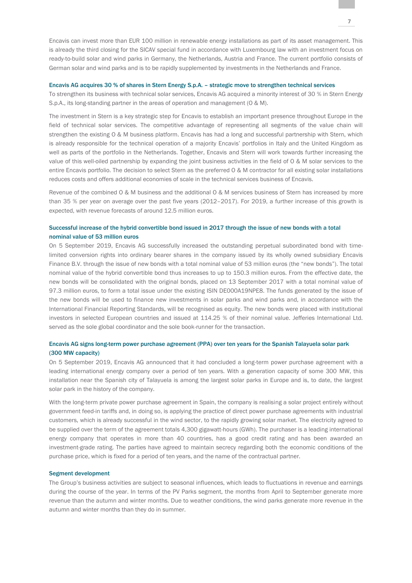Encavis can invest more than EUR 100 million in renewable energy installations as part of its asset management. This is already the third closing for the SICAV special fund in accordance with Luxembourg law with an investment focus on ready-to-build solar and wind parks in Germany, the Netherlands, Austria and France. The current portfolio consists of German solar and wind parks and is to be rapidly supplemented by investments in the Netherlands and France.

#### Encavis AG acquires 30 % of shares in Stern Energy S.p.A. – strategic move to strengthen technical services

To strengthen its business with technical solar services, Encavis AG acquired a minority interest of 30 % in Stern Energy S.p.A., its long-standing partner in the areas of operation and management (O & M).

The investment in Stern is a key strategic step for Encavis to establish an important presence throughout Europe in the field of technical solar services. The competitive advantage of representing all segments of the value chain will strengthen the existing O & M business platform. Encavis has had a long and successful partnership with Stern, which is already responsible for the technical operation of a majority Encavis' portfolios in Italy and the United Kingdom as well as parts of the portfolio in the Netherlands. Together, Encavis and Stern will work towards further increasing the value of this well-oiled partnership by expanding the joint business activities in the field of O & M solar services to the entire Encavis portfolio. The decision to select Stern as the preferred O & M contractor for all existing solar installations reduces costs and offers additional economies of scale in the technical services business of Encavis.

Revenue of the combined O & M business and the additional O & M services business of Stern has increased by more than 35 % per year on average over the past five years (2012–2017). For 2019, a further increase of this growth is expected, with revenue forecasts of around 12.5 million euros.

#### Successful increase of the hybrid convertible bond issued in 2017 through the issue of new bonds with a total nominal value of 53 million euros

On 5 September 2019, Encavis AG successfully increased the outstanding perpetual subordinated bond with timelimited conversion rights into ordinary bearer shares in the company issued by its wholly owned subsidiary Encavis Finance B.V. through the issue of new bonds with a total nominal value of 53 million euros (the "new bonds"). The total nominal value of the hybrid convertible bond thus increases to up to 150.3 million euros. From the effective date, the new bonds will be consolidated with the original bonds, placed on 13 September 2017 with a total nominal value of 97.3 million euros, to form a total issue under the existing ISIN DE000A19NPE8. The funds generated by the issue of the new bonds will be used to finance new investments in solar parks and wind parks and, in accordance with the International Financial Reporting Standards, will be recognised as equity. The new bonds were placed with institutional investors in selected European countries and issued at 114.25 % of their nominal value. Jefferies International Ltd. served as the sole global coordinator and the sole book-runner for the transaction.

#### Encavis AG signs long-term power purchase agreement (PPA) over ten years for the Spanish Talayuela solar park (300 MW capacity)

On 5 September 2019, Encavis AG announced that it had concluded a long-term power purchase agreement with a leading international energy company over a period of ten years. With a generation capacity of some 300 MW, this installation near the Spanish city of Talayuela is among the largest solar parks in Europe and is, to date, the largest solar park in the history of the company.

With the long-term private power purchase agreement in Spain, the company is realising a solar project entirely without government feed-in tariffs and, in doing so, is applying the practice of direct power purchase agreements with industrial customers, which is already successful in the wind sector, to the rapidly growing solar market. The electricity agreed to be supplied over the term of the agreement totals 4,300 gigawatt-hours (GWh). The purchaser is a leading international energy company that operates in more than 40 countries, has a good credit rating and has been awarded an investment-grade rating. The parties have agreed to maintain secrecy regarding both the economic conditions of the purchase price, which is fixed for a period of ten years, and the name of the contractual partner.

#### Segment development

The Group's business activities are subject to seasonal influences, which leads to fluctuations in revenue and earnings during the course of the year. In terms of the PV Parks segment, the months from April to September generate more revenue than the autumn and winter months. Due to weather conditions, the wind parks generate more revenue in the autumn and winter months than they do in summer.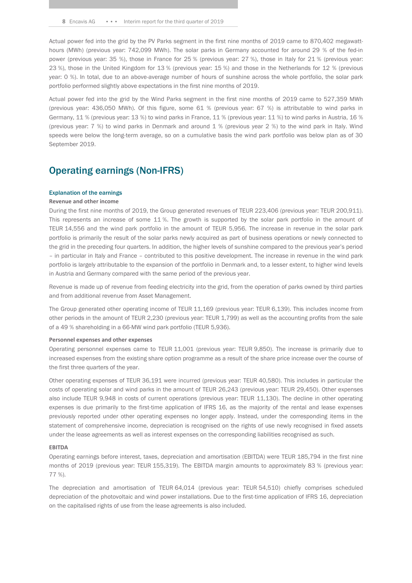Actual power fed into the grid by the PV Parks segment in the first nine months of 2019 came to 870,402 megawatthours (MWh) (previous year: 742,099 MWh). The solar parks in Germany accounted for around 29 % of the fed-in power (previous year: 35 %), those in France for 25 % (previous year: 27 %), those in Italy for 21 % (previous year: 23 %), those in the United Kingdom for 13 % (previous year: 15 %) and those in the Netherlands for 12 % (previous year: 0 %). In total, due to an above-average number of hours of sunshine across the whole portfolio, the solar park portfolio performed slightly above expectations in the first nine months of 2019.

Actual power fed into the grid by the Wind Parks segment in the first nine months of 2019 came to 527,359 MWh (previous year: 436,050 MWh). Of this figure, some 61 % (previous year: 67 %) is attributable to wind parks in Germany, 11 % (previous year: 13 %) to wind parks in France, 11 % (previous year: 11 %) to wind parks in Austria, 16 % (previous year: 7 %) to wind parks in Denmark and around 1 % (previous year 2 %) to the wind park in Italy. Wind speeds were below the long-term average, so on a cumulative basis the wind park portfolio was below plan as of 30 September 2019.

### Operating earnings (Non-IFRS)

#### Explanation of the earnings

#### **Revenue and other income**

During the first nine months of 2019, the Group generated revenues of TEUR 223,406 (previous year: TEUR 200,911). This represents an increase of some 11 %. The growth is supported by the solar park portfolio in the amount of TEUR 14,556 and the wind park portfolio in the amount of TEUR 5,956. The increase in revenue in the solar park portfolio is primarily the result of the solar parks newly acquired as part of business operations or newly connected to the grid in the preceding four quarters. In addition, the higher levels of sunshine compared to the previous year's period – in particular in Italy and France – contributed to this positive development. The increase in revenue in the wind park portfolio is largely attributable to the expansion of the portfolio in Denmark and, to a lesser extent, to higher wind levels in Austria and Germany compared with the same period of the previous year.

Revenue is made up of revenue from feeding electricity into the grid, from the operation of parks owned by third parties and from additional revenue from Asset Management.

The Group generated other operating income of TEUR 11,169 (previous year: TEUR 6,139). This includes income from other periods in the amount of TEUR 2,230 (previous year: TEUR 1,799) as well as the accounting profits from the sale of a 49 % shareholding in a 66-MW wind park portfolio (TEUR 5,936).

#### **Personnel expenses and other expenses**

Operating personnel expenses came to TEUR 11,001 (previous year: TEUR 9,850). The increase is primarily due to increased expenses from the existing share option programme as a result of the share price increase over the course of the first three quarters of the year.

Other operating expenses of TEUR 36,191 were incurred (previous year: TEUR 40,580). This includes in particular the costs of operating solar and wind parks in the amount of TEUR 26,243 (previous year: TEUR 29,450). Other expenses also include TEUR 9,948 in costs of current operations (previous year: TEUR 11,130). The decline in other operating expenses is due primarily to the first-time application of IFRS 16, as the majority of the rental and lease expenses previously reported under other operating expenses no longer apply. Instead, under the corresponding items in the statement of comprehensive income, depreciation is recognised on the rights of use newly recognised in fixed assets under the lease agreements as well as interest expenses on the corresponding liabilities recognised as such.

#### **EBITDA**

Operating earnings before interest, taxes, depreciation and amortisation (EBITDA) were TEUR 185,794 in the first nine months of 2019 (previous year: TEUR 155,319). The EBITDA margin amounts to approximately 83 % (previous year: 77 %).

The depreciation and amortisation of TEUR 64,014 (previous year: TEUR 54,510) chiefly comprises scheduled depreciation of the photovoltaic and wind power installations. Due to the first-time application of IFRS 16, depreciation on the capitalised rights of use from the lease agreements is also included.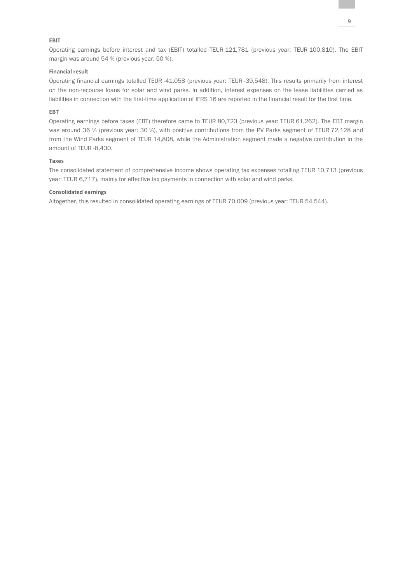#### **EBIT**

Operating earnings before interest and tax (EBIT) totalled TEUR 121,781 (previous year: TEUR 100,810). The EBIT margin was around 54 % (previous year: 50 %).

#### **Financial result**

Operating financial earnings totalled TEUR -41,058 (previous year: TEUR -39,548). This results primarily from interest on the non-recourse loans for solar and wind parks. In addition, interest expenses on the lease liabilities carried as liabilities in connection with the first-time application of IFRS 16 are reported in the financial result for the first time.

#### **EBT**

Operating earnings before taxes (EBT) therefore came to TEUR 80,723 (previous year: TEUR 61,262). The EBT margin was around 36 % (previous year: 30 %), with positive contributions from the PV Parks segment of TEUR 72,128 and from the Wind Parks segment of TEUR 14,808, while the Administration segment made a negative contribution in the amount of TEUR -8,430.

#### **Taxes**

The consolidated statement of comprehensive income shows operating tax expenses totalling TEUR 10,713 (previous year: TEUR 6,717), mainly for effective tax payments in connection with solar and wind parks.

#### **Consolidated earnings**

Altogether, this resulted in consolidated operating earnings of TEUR 70,009 (previous year: TEUR 54,544).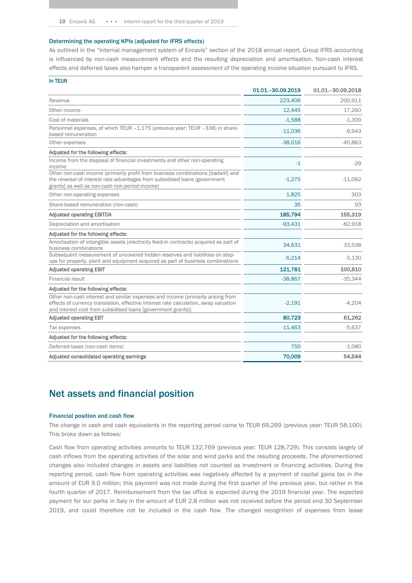#### Determining the operating KPIs (adjusted for IFRS effects)

As outlined in the "Internal management system of Encavis" section of the 2018 annual report, Group IFRS accounting is influenced by non-cash measurement effects and the resulting depreciation and amortisation. Non-cash interest effects and deferred taxes also hamper a transparent assessment of the operating income situation pursuant to IFRS.

| in TEUR                                                                                                                                                                                                                                 |                   |                   |
|-----------------------------------------------------------------------------------------------------------------------------------------------------------------------------------------------------------------------------------------|-------------------|-------------------|
|                                                                                                                                                                                                                                         | 01.01.-30.09.2019 | 01.01.-30.09.2018 |
| Revenue                                                                                                                                                                                                                                 | 223,406           | 200,911           |
| Other income                                                                                                                                                                                                                            | 12,445            | 17,260            |
| Cost of materials                                                                                                                                                                                                                       | $-1,588$          | $-1,300$          |
| Personnel expenses, of which TEUR -1,175 (previous year: TEUR -336) in share-<br>based remuneration                                                                                                                                     | $-11,036$         | $-9,943$          |
| Other expenses                                                                                                                                                                                                                          | $-38,016$         | $-40,883$         |
| Adjusted for the following effects:                                                                                                                                                                                                     |                   |                   |
| Income from the disposal of financial investments and other non-operating<br>income                                                                                                                                                     | $-1$              | $-29$             |
| Other non-cash income (primarily profit from business combinations [badwill] and<br>the reversal of interest rate advantages from subsidised loans [government]<br>grants] as well as non-cash non-period income)                       | $-1,275$          | $-11,092$         |
| Other non-operating expenses                                                                                                                                                                                                            | 1,825             | 303               |
| Share-based remuneration (non-cash)                                                                                                                                                                                                     | 35                | 93                |
| <b>Adjusted operating EBITDA</b>                                                                                                                                                                                                        | 185,794           | 155,319           |
| Depreciation and amortisation                                                                                                                                                                                                           | $-93,431$         | $-82,918$         |
| Adjusted for the following effects:                                                                                                                                                                                                     |                   |                   |
| Amortisation of intangible assets (electricity feed-in contracts) acquired as part of<br>business combinations                                                                                                                          | 34,631            | 33,538            |
| Subsequent measurement of uncovered hidden reserves and liabilities on step-<br>ups for property, plant and equipment acquired as part of business combinations                                                                         | $-5,214$          | $-5,130$          |
| <b>Adjusted operating EBIT</b>                                                                                                                                                                                                          | 121,781           | 100,810           |
| Financial result                                                                                                                                                                                                                        | $-38,867$         | $-35,344$         |
| Adjusted for the following effects:                                                                                                                                                                                                     |                   |                   |
| Other non-cash interest and similar expenses and income (primarily arising from<br>effects of currency translation, effective interest rate calculation, swap valuation<br>and interest cost from subsidised loans [government grants]) | $-2,191$          | $-4,204$          |
| <b>Adjusted operating EBT</b>                                                                                                                                                                                                           | 80,723            | 61,262            |
| Tax expenses                                                                                                                                                                                                                            | $-11,463$         | $-5,637$          |
| Adjusted for the following effects:                                                                                                                                                                                                     |                   |                   |
| Deferred taxes (non-cash items)                                                                                                                                                                                                         | 750               | $-1,080$          |
| Adjusted consolidated operating earnings                                                                                                                                                                                                | 70,009            | 54,544            |

# Net assets and financial position

#### Financial position and cash flow

The change in cash and cash equivalents in the reporting period came to TEUR 69,269 (previous year: TEUR 58,100). This broke down as follows:

Cash flow from operating activities amounts to TEUR 132,769 (previous year: TEUR 128,729). This consists largely of cash inflows from the operating activities of the solar and wind parks and the resulting proceeds. The aforementioned changes also included changes in assets and liabilities not counted as investment or financing activities. During the reporting period, cash flow from operating activities was negatively affected by a payment of capital gains tax in the amount of EUR 9.0 million; this payment was not made during the first quarter of the previous year, but rather in the fourth quarter of 2017. Reimbursement from the tax office is expected during the 2019 financial year. The expected payment for our parks in Italy in the amount of EUR 2.8 million was not received before the period end 30 September 2019, and could therefore not be included in the cash flow. The changed recognition of expenses from lease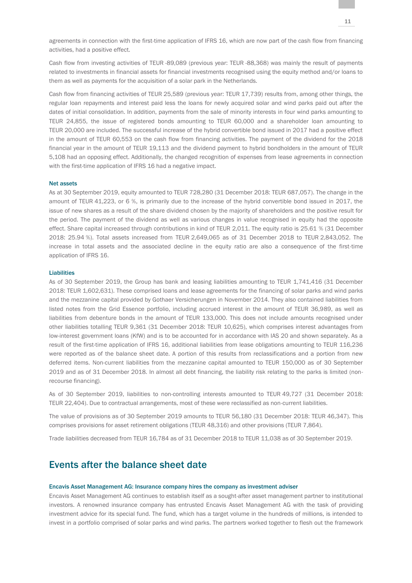agreements in connection with the first-time application of IFRS 16, which are now part of the cash flow from financing activities, had a positive effect.

Cash flow from investing activities of TEUR -89,089 (previous year: TEUR -88,368) was mainly the result of payments related to investments in financial assets for financial investments recognised using the equity method and/or loans to them as well as payments for the acquisition of a solar park in the Netherlands.

Cash flow from financing activities of TEUR 25,589 (previous year: TEUR 17,739) results from, among other things, the regular loan repayments and interest paid less the loans for newly acquired solar and wind parks paid out after the dates of initial consolidation. In addition, payments from the sale of minority interests in four wind parks amounting to TEUR 24,855, the issue of registered bonds amounting to TEUR 60,000 and a shareholder loan amounting to TEUR 20,000 are included. The successful increase of the hybrid convertible bond issued in 2017 had a positive effect in the amount of TEUR 60,553 on the cash flow from financing activities. The payment of the dividend for the 2018 financial year in the amount of TEUR 19,113 and the dividend payment to hybrid bondholders in the amount of TEUR 5,108 had an opposing effect. Additionally, the changed recognition of expenses from lease agreements in connection with the first-time application of IFRS 16 had a negative impact.

#### Net assets

As at 30 September 2019, equity amounted to TEUR 728,280 (31 December 2018: TEUR 687,057). The change in the amount of TEUR 41,223, or 6 %, is primarily due to the increase of the hybrid convertible bond issued in 2017, the issue of new shares as a result of the share dividend chosen by the majority of shareholders and the positive result for the period. The payment of the dividend as well as various changes in value recognised in equity had the opposite effect. Share capital increased through contributions in kind of TEUR 2,011. The equity ratio is 25.61 % (31 December 2018: 25.94 %). Total assets increased from TEUR 2,649,065 as of 31 December 2018 to TEUR 2,843,052. The increase in total assets and the associated decline in the equity ratio are also a consequence of the first-time application of IFRS 16.

#### Liabilities

As of 30 September 2019, the Group has bank and leasing liabilities amounting to TEUR 1,741,416 (31 December 2018: TEUR 1,602,631). These comprised loans and lease agreements for the financing of solar parks and wind parks and the mezzanine capital provided by Gothaer Versicherungen in November 2014. They also contained liabilities from listed notes from the Grid Essence portfolio, including accrued interest in the amount of TEUR 36,989, as well as liabilities from debenture bonds in the amount of TEUR 133,000. This does not include amounts recognised under other liabilities totalling TEUR 9,361 (31 December 2018: TEUR 10,625), which comprises interest advantages from low-interest government loans (KfW) and is to be accounted for in accordance with IAS 20 and shown separately. As a result of the first-time application of IFRS 16, additional liabilities from lease obligations amounting to TEUR 116,236 were reported as of the balance sheet date. A portion of this results from reclassifications and a portion from new deferred items. Non-current liabilities from the mezzanine capital amounted to TEUR 150,000 as of 30 September 2019 and as of 31 December 2018. In almost all debt financing, the liability risk relating to the parks is limited (nonrecourse financing).

As of 30 September 2019, liabilities to non-controlling interests amounted to TEUR 49,727 (31 December 2018: TEUR 22,404). Due to contractual arrangements, most of these were reclassified as non-current liabilities.

The value of provisions as of 30 September 2019 amounts to TEUR 56,180 (31 December 2018: TEUR 46,347). This comprises provisions for asset retirement obligations (TEUR 48,316) and other provisions (TEUR 7,864).

Trade liabilities decreased from TEUR 16,784 as of 31 December 2018 to TEUR 11,038 as of 30 September 2019.

### Events after the balance sheet date

#### Encavis Asset Management AG: Insurance company hires the company as investment adviser

Encavis Asset Management AG continues to establish itself as a sought-after asset management partner to institutional investors. A renowned insurance company has entrusted Encavis Asset Management AG with the task of providing investment advice for its special fund. The fund, which has a target volume in the hundreds of millions, is intended to invest in a portfolio comprised of solar parks and wind parks. The partners worked together to flesh out the framework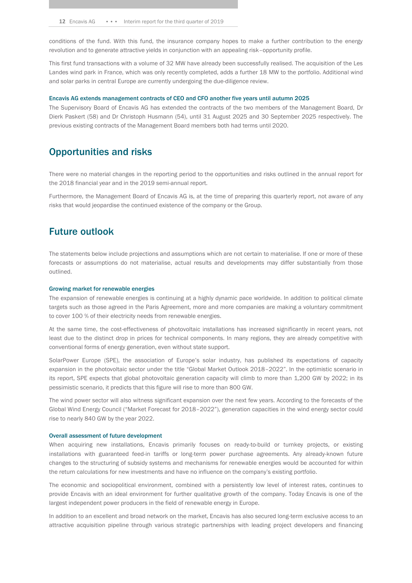conditions of the fund. With this fund, the insurance company hopes to make a further contribution to the energy revolution and to generate attractive yields in conjunction with an appealing risk–opportunity profile.

This first fund transactions with a volume of 32 MW have already been successfully realised. The acquisition of the Les Landes wind park in France, which was only recently completed, adds a further 18 MW to the portfolio. Additional wind and solar parks in central Europe are currently undergoing the due-diligence review.

#### Encavis AG extends management contracts of CEO and CFO another five years until autumn 2025

The Supervisory Board of Encavis AG has extended the contracts of the two members of the Management Board, Dr Dierk Paskert (58) and Dr Christoph Husmann (54), until 31 August 2025 and 30 September 2025 respectively. The previous existing contracts of the Management Board members both had terms until 2020.

### Opportunities and risks

There were no material changes in the reporting period to the opportunities and risks outlined in the annual report for the 2018 financial year and in the 2019 semi-annual report.

Furthermore, the Management Board of Encavis AG is, at the time of preparing this quarterly report, not aware of any risks that would jeopardise the continued existence of the company or the Group.

## Future outlook

The statements below include projections and assumptions which are not certain to materialise. If one or more of these forecasts or assumptions do not materialise, actual results and developments may differ substantially from those outlined.

#### Growing market for renewable energies

The expansion of renewable energies is continuing at a highly dynamic pace worldwide. In addition to political climate targets such as those agreed in the Paris Agreement, more and more companies are making a voluntary commitment to cover 100 % of their electricity needs from renewable energies.

At the same time, the cost-effectiveness of photovoltaic installations has increased significantly in recent years, not least due to the distinct drop in prices for technical components. In many regions, they are already competitive with conventional forms of energy generation, even without state support.

SolarPower Europe (SPE), the association of Europe's solar industry, has published its expectations of capacity expansion in the photovoltaic sector under the title "Global Market Outlook 2018–2022". In the optimistic scenario in its report, SPE expects that global photovoltaic generation capacity will climb to more than 1,200 GW by 2022; in its pessimistic scenario, it predicts that this figure will rise to more than 800 GW.

The wind power sector will also witness significant expansion over the next few years. According to the forecasts of the Global Wind Energy Council ("Market Forecast for 2018–2022"), generation capacities in the wind energy sector could rise to nearly 840 GW by the year 2022.

#### Overall assessment of future development

When acquiring new installations, Encavis primarily focuses on ready-to-build or turnkey projects, or existing installations with guaranteed feed-in tariffs or long-term power purchase agreements. Any already-known future changes to the structuring of subsidy systems and mechanisms for renewable energies would be accounted for within the return calculations for new investments and have no influence on the company's existing portfolio.

The economic and sociopolitical environment, combined with a persistently low level of interest rates, continues to provide Encavis with an ideal environment for further qualitative growth of the company. Today Encavis is one of the largest independent power producers in the field of renewable energy in Europe.

In addition to an excellent and broad network on the market, Encavis has also secured long-term exclusive access to an attractive acquisition pipeline through various strategic partnerships with leading project developers and financing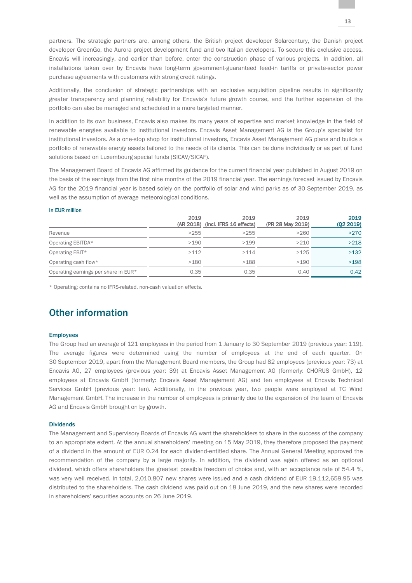partners. The strategic partners are, among others, the British project developer Solarcentury, the Danish project developer GreenGo, the Aurora project development fund and two Italian developers. To secure this exclusive access, Encavis will increasingly, and earlier than before, enter the construction phase of various projects. In addition, all installations taken over by Encavis have long-term government-guaranteed feed-in tariffs or private-sector power purchase agreements with customers with strong credit ratings.

Additionally, the conclusion of strategic partnerships with an exclusive acquisition pipeline results in significantly greater transparency and planning reliability for Encavis's future growth course, and the further expansion of the portfolio can also be managed and scheduled in a more targeted manner.

In addition to its own business, Encavis also makes its many years of expertise and market knowledge in the field of renewable energies available to institutional investors. Encavis Asset Management AG is the Group's specialist for institutional investors. As a one-stop shop for institutional investors, Encavis Asset Management AG plans and builds a portfolio of renewable energy assets tailored to the needs of its clients. This can be done individually or as part of fund solutions based on Luxembourg special funds (SICAV/SICAF).

The Management Board of Encavis AG affirmed its guidance for the current financial year published in August 2019 on the basis of the earnings from the first nine months of the 2019 financial year. The earnings forecast issued by Encavis AG for the 2019 financial year is based solely on the portfolio of solar and wind parks as of 30 September 2019, as well as the assumption of average meteorological conditions.

| 2019 | 2019 | 2019<br>(PR 28 May 2019)          | 2019<br>(Q2 2019) |
|------|------|-----------------------------------|-------------------|
| >255 | >255 | >260                              | >270              |
| >190 | >199 | >210                              | >218              |
| >112 | >114 | >125                              | >132              |
| >180 | >188 | >190                              | >198              |
| 0.35 | 0.35 | 0.40                              | 0.42              |
|      |      | (AR 2018) (incl. IFRS 16 effects) |                   |

\* Operating; contains no IFRS-related, non-cash valuation effects.

# Other information

#### Employees

The Group had an average of 121 employees in the period from 1 January to 30 September 2019 (previous year: 119). The average figures were determined using the number of employees at the end of each quarter. On 30 September 2019, apart from the Management Board members, the Group had 82 employees (previous year: 73) at Encavis AG, 27 employees (previous year: 39) at Encavis Asset Management AG (formerly: CHORUS GmbH), 12 employees at Encavis GmbH (formerly: Encavis Asset Management AG) and ten employees at Encavis Technical Services GmbH (previous year: ten). Additionally, in the previous year, two people were employed at TC Wind Management GmbH. The increase in the number of employees is primarily due to the expansion of the team of Encavis AG and Encavis GmbH brought on by growth.

#### Dividends

The Management and Supervisory Boards of Encavis AG want the shareholders to share in the success of the company to an appropriate extent. At the annual shareholders' meeting on 15 May 2019, they therefore proposed the payment of a dividend in the amount of EUR 0.24 for each dividend-entitled share. The Annual General Meeting approved the recommendation of the company by a large majority. In addition, the dividend was again offered as an optional dividend, which offers shareholders the greatest possible freedom of choice and, with an acceptance rate of 54.4 %, was very well received. In total, 2,010,807 new shares were issued and a cash dividend of EUR 19,112,659.95 was distributed to the shareholders. The cash dividend was paid out on 18 June 2019, and the new shares were recorded in shareholders' securities accounts on 26 June 2019.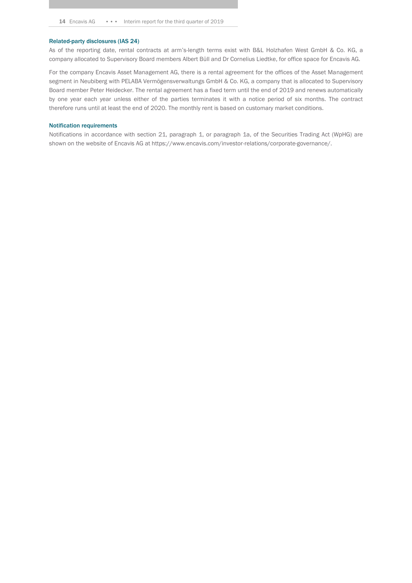#### Related-party disclosures (IAS 24)

As of the reporting date, rental contracts at arm's-length terms exist with B&L Holzhafen West GmbH & Co. KG, a company allocated to Supervisory Board members Albert Büll and Dr Cornelius Liedtke, for office space for Encavis AG.

For the company Encavis Asset Management AG, there is a rental agreement for the offices of the Asset Management segment in Neubiberg with PELABA Vermögensverwaltungs GmbH & Co. KG, a company that is allocated to Supervisory Board member Peter Heidecker. The rental agreement has a fixed term until the end of 2019 and renews automatically by one year each year unless either of the parties terminates it with a notice period of six months. The contract therefore runs until at least the end of 2020. The monthly rent is based on customary market conditions.

#### Notification requirements

Notifications in accordance with section 21, paragraph 1, or paragraph 1a, of the Securities Trading Act (WpHG) are shown on the website of Encavis AG at https://www.encavis.com/investor-relations/corporate-governance/.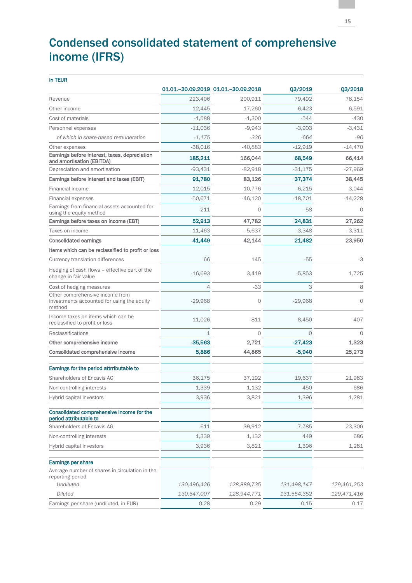# Condensed consolidated statement of comprehensive income (IFRS)

| in TEUR                                                                                 |                |                                       |             |             |
|-----------------------------------------------------------------------------------------|----------------|---------------------------------------|-------------|-------------|
|                                                                                         |                | 01.01. -30.09.2019 01.01. -30.09.2018 | 03/2019     | Q3/2018     |
| Revenue                                                                                 | 223,406        | 200,911                               | 79,492      | 78,154      |
| Other income                                                                            | 12,445         | 17,260                                | 6,423       | 6,591       |
| Cost of materials                                                                       | $-1,588$       | $-1,300$                              | $-544$      | $-430$      |
| Personnel expenses                                                                      | $-11,036$      | $-9,943$                              | $-3,903$    | $-3,431$    |
| of which in share-based remuneration                                                    | $-1,175$       | $-336$                                | $-664$      | $-90$       |
| Other expenses                                                                          | $-38,016$      | $-40,883$                             | $-12,919$   | $-14,470$   |
| Earnings before interest, taxes, depreciation<br>and amortisation (EBITDA)              | 185,211        | 166,044                               | 68,549      | 66,414      |
| Depreciation and amortisation                                                           | $-93,431$      | $-82,918$                             | $-31,175$   | $-27,969$   |
| Earnings before interest and taxes (EBIT)                                               | 91,780         | 83,126                                | 37,374      | 38,445      |
| Financial income                                                                        | 12,015         | 10,776                                | 6,215       | 3,044       |
| Financial expenses                                                                      | $-50,671$      | $-46,120$                             | $-18,701$   | $-14,228$   |
| Earnings from financial assets accounted for<br>using the equity method                 | $-211$         | $\circ$                               | $-58$       | $\Omega$    |
| Earnings before taxes on income (EBT)                                                   | 52,913         | 47,782                                | 24,831      | 27,262      |
| Taxes on income                                                                         | $-11,463$      | $-5,637$                              | $-3,348$    | $-3,311$    |
| <b>Consolidated earnings</b>                                                            | 41,449         | 42,144                                | 21,482      | 23,950      |
| Items which can be reclassified to profit or loss                                       |                |                                       |             |             |
| Currency translation differences                                                        | 66             | 145                                   | $-55$       | -3          |
| Hedging of cash flows - effective part of the<br>change in fair value                   | $-16,693$      | 3,419                                 | $-5,853$    | 1,725       |
| Cost of hedging measures                                                                | $\overline{4}$ | $-33$                                 | 3           | 8           |
| Other comprehensive income from<br>investments accounted for using the equity<br>method | $-29,968$      | $\circ$                               | $-29,968$   | $\circ$     |
| Income taxes on items which can be<br>reclassified to profit or loss                    | 11,026         | $-811$                                | 8,450       | $-407$      |
| Reclassifications                                                                       | $\mathbf{1}$   | $\Omega$                              | $\bigcap$   | $\Omega$    |
| Other comprehensive income                                                              | $-35,563$      | 2,721                                 | $-27,423$   | 1,323       |
| Consolidated comprehensive income                                                       | 5,886          | 44,865                                | $-5,940$    | 25,273      |
| Earnings for the period attrributable to                                                |                |                                       |             |             |
| Shareholders of Encavis AG                                                              | 36,175         | 37,192                                | 19,637      | 21,983      |
| Non-controlling interests                                                               | 1,339          | 1,132                                 | 450         | 686         |
| Hybrid capital investors                                                                | 3,936          | 3,821                                 | 1,396       | 1,281       |
| Consolidated comprehensive income for the<br>period attributable to                     |                |                                       |             |             |
| Shareholders of Encavis AG                                                              | 611            | 39,912                                | $-7,785$    | 23,306      |
| Non-controlling interests                                                               | 1,339          | 1,132                                 | 449         | 686         |
| Hybrid capital investors                                                                | 3,936          | 3,821                                 | 1,396       | 1,281       |
| Earnings per share                                                                      |                |                                       |             |             |
| Average number of shares in circulation in the<br>reporting period                      |                |                                       |             |             |
| Undiluted                                                                               | 130,496,426    | 128,889,735                           | 131,498,147 | 129,461,253 |
| <b>Diluted</b>                                                                          | 130,547,007    | 128,944,771                           | 131,554,352 | 129,471,416 |
| Earnings per share (undiluted, in EUR)                                                  | 0.28           | 0.29                                  | 0.15        | 0.17        |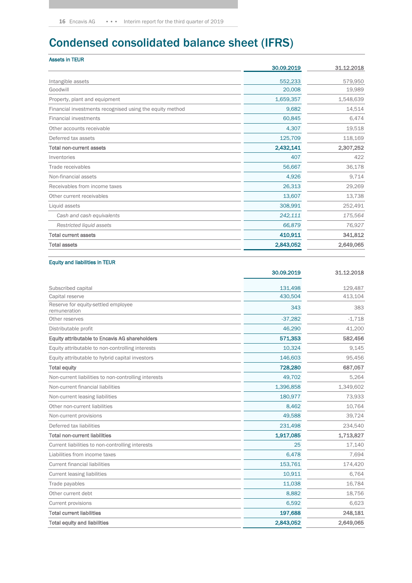# Condensed consolidated balance sheet (IFRS)

| <b>Assets in TEUR</b>                                    |            |            |
|----------------------------------------------------------|------------|------------|
|                                                          | 30.09.2019 | 31.12.2018 |
| Intangible assets                                        | 552,233    | 579,950    |
| Goodwill                                                 | 20,008     | 19,989     |
| Property, plant and equipment                            | 1,659,357  | 1,548,639  |
| Financial investments recognised using the equity method | 9,682      | 14,514     |
| <b>Financial investments</b>                             | 60,845     | 6,474      |
| Other accounts receivable                                | 4,307      | 19,518     |
| Deferred tax assets                                      | 125,709    | 118,169    |
| <b>Total non-current assets</b>                          | 2,432,141  | 2,307,252  |
| Inventories                                              | 407        | 422        |
| Trade receivables                                        | 56,667     | 36,178     |
| Non-financial assets                                     | 4,926      | 9,714      |
| Receivables from income taxes                            | 26,313     | 29,269     |
| Other current receivables                                | 13,607     | 13,738     |
| Liquid assets                                            | 308,991    | 252,491    |
| Cash and cash equivalents                                | 242,111    | 175,564    |
| Restricted liquid assets                                 | 66,879     | 76,927     |
| <b>Total current assets</b>                              | 410,911    | 341,812    |
| <b>Total assets</b>                                      | 2,843,052  | 2,649,065  |
|                                                          |            |            |

#### Equity and liabilities in TEUR

|                                                      | 30.09.2019 | 31,12,2018 |
|------------------------------------------------------|------------|------------|
| Subscribed capital                                   | 131,498    | 129,487    |
| Capital reserve                                      | 430,504    | 413,104    |
| Reserve for equity-settled employee<br>remuneration  | 343        | 383        |
| Other reserves                                       | $-37,282$  | $-1,718$   |
| Distributable profit                                 | 46.290     | 41.200     |
| Equity attributable to Encavis AG shareholders       | 571,353    | 582,456    |
| Equity attributable to non-controlling interests     | 10,324     | 9,145      |
| Equity attributable to hybrid capital investors      | 146,603    | 95,456     |
| <b>Total equity</b>                                  | 728,280    | 687,057    |
| Non-current liabilities to non-controlling interests | 49,702     | 5,264      |
| Non-current financial liabilities                    | 1,396,858  | 1,349,602  |
| Non-current leasing liabilities                      | 180,977    | 73,933     |
| Other non-current liabilities                        | 8,462      | 10,764     |
| Non-current provisions                               | 49,588     | 39,724     |
| Deferred tax liabilities                             | 231,498    | 234,540    |
| <b>Total non-current liabilities</b>                 | 1,917,085  | 1,713,827  |
| Current liabilities to non-controlling interests     | 25         | 17,140     |
| Liabilities from income taxes                        | 6,478      | 7,694      |
| <b>Current financial liabilities</b>                 | 153,761    | 174,420    |
| <b>Current leasing liabilities</b>                   | 10,911     | 6,764      |
| Trade payables                                       | 11,038     | 16,784     |
| Other current debt                                   | 8,882      | 18,756     |
| Current provisions                                   | 6,592      | 6,623      |
| <b>Total current liabilities</b>                     | 197,688    | 248,181    |
| <b>Total equity and liabilities</b>                  | 2,843,052  | 2,649,065  |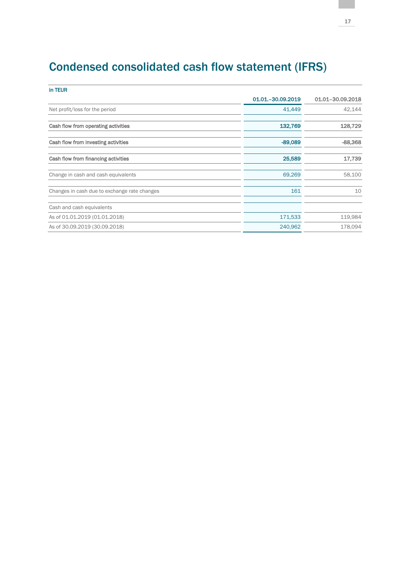# Condensed consolidated cash flow statement (IFRS)

| in TEUR                                      |                     |                  |
|----------------------------------------------|---------------------|------------------|
|                                              | 01.01. - 30.09.2019 | 01.01-30.09.2018 |
| Net profit/loss for the period               | 41,449              | 42,144           |
| Cash flow from operating activities          | 132,769             | 128,729          |
| Cash flow from investing activities          | $-89,089$           | $-88,368$        |
| Cash flow from financing activities          | 25,589              | 17,739           |
| Change in cash and cash equivalents          | 69,269              | 58,100           |
| Changes in cash due to exchange rate changes | 161                 | 10               |
| Cash and cash equivalents                    |                     |                  |
| As of 01.01.2019 (01.01.2018)                | 171,533             | 119,984          |
| As of 30.09.2019 (30.09.2018)                | 240,962             | 178,094          |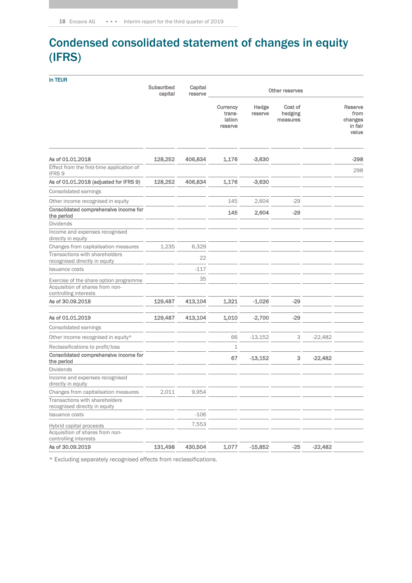# Condensed consolidated statement of changes in equity (IFRS)

|                                                                                                    | Subscribed<br>capital | Capital<br>reserve |                                         | Other reserves   |                                |           |                                                |  |
|----------------------------------------------------------------------------------------------------|-----------------------|--------------------|-----------------------------------------|------------------|--------------------------------|-----------|------------------------------------------------|--|
|                                                                                                    |                       |                    | Currency<br>trans-<br>lation<br>reserve | Hedge<br>reserve | Cost of<br>hedging<br>measures |           | Reserve<br>from<br>changes<br>in fair<br>value |  |
| As of 01.01.2018                                                                                   | 128,252               | 406,834            | 1,176                                   | $-3,630$         |                                |           | $-298$                                         |  |
| Effect from the first-time application of<br>IFRS 9                                                |                       |                    |                                         |                  |                                |           | 298                                            |  |
| As of 01.01.2018 (adjusted for IFRS 9)                                                             | 128,252               | 406,834            | 1,176                                   | $-3,630$         |                                |           |                                                |  |
| Consolidated earnings                                                                              |                       |                    |                                         |                  |                                |           |                                                |  |
| Other income recognised in equity                                                                  |                       |                    | 145                                     | 2,604            | $-29$                          |           |                                                |  |
| Consolidated comprehensive income for<br>the period                                                |                       |                    | 145                                     | 2,604            | $-29$                          |           |                                                |  |
| <b>Dividends</b>                                                                                   |                       |                    |                                         |                  |                                |           |                                                |  |
| Income and expenses recognised<br>directly in equity                                               |                       |                    |                                         |                  |                                |           |                                                |  |
| Changes from capitalisation measures                                                               | 1,235                 | 6,329              |                                         |                  |                                |           |                                                |  |
| Transactions with shareholders<br>recognised directly in equity                                    |                       | 22                 |                                         |                  |                                |           |                                                |  |
| <b>Issuance costs</b>                                                                              |                       | $-117$             |                                         |                  |                                |           |                                                |  |
| Exercise of the share option programme<br>Acquisition of shares from non-<br>controlling interests |                       | 35                 |                                         |                  |                                |           |                                                |  |
| As of 30.09.2018                                                                                   | 129,487               | 413,104            | 1,321                                   | $-1,026$         | $-29$                          |           |                                                |  |
| As of 01.01.2019                                                                                   | 129,487               | 413,104            | 1,010                                   | $-2,700$         | $-29$                          |           |                                                |  |
| Consolidated earnings                                                                              |                       |                    |                                         |                  |                                |           |                                                |  |
| Other income recognised in equity*                                                                 |                       |                    | 66                                      | $-13,152$        | 3                              | $-22,482$ |                                                |  |
| Reclassifications to profit/loss                                                                   |                       |                    | $\perp$                                 |                  |                                |           |                                                |  |
| Consolidated comprehensive income for<br>the period                                                |                       |                    | 67                                      | $-13,152$        | 3                              | $-22,482$ |                                                |  |
| <b>Dividends</b>                                                                                   |                       |                    |                                         |                  |                                |           |                                                |  |
| Income and expenses recognised<br>directly in equity                                               |                       |                    |                                         |                  |                                |           |                                                |  |
| Changes from capitalisation measures                                                               | 2,011                 | 9,954              |                                         |                  |                                |           |                                                |  |
| Transactions with shareholders<br>recognised directly in equity                                    |                       |                    |                                         |                  |                                |           |                                                |  |
| <b>Issuance costs</b>                                                                              |                       | $-106$             |                                         |                  |                                |           |                                                |  |
| Hybrid capital proceeds<br>Acquisition of shares from non-<br>controlling interests                |                       | 7,553              |                                         |                  |                                |           |                                                |  |
| As of 30.09.2019                                                                                   | 131,498               | 430,504            | 1,077                                   | $-15,852$        | $-25$                          | $-22,482$ |                                                |  |

\* Excluding separately recognised effects from reclassifications.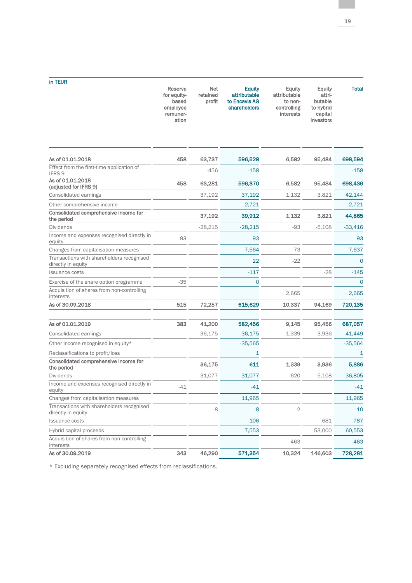| in TEUR                                                         |                                                                  |                           |                                                                |                                                               |                                                                  |                |
|-----------------------------------------------------------------|------------------------------------------------------------------|---------------------------|----------------------------------------------------------------|---------------------------------------------------------------|------------------------------------------------------------------|----------------|
|                                                                 | Reserve<br>for equity-<br>based<br>employee<br>remuner-<br>ation | Net<br>retained<br>profit | <b>Equity</b><br>attributable<br>to Encavis AG<br>shareholders | Equity<br>attributable<br>to non-<br>controlling<br>interests | Equity<br>attri-<br>butable<br>to hybrid<br>capital<br>investors | <b>Total</b>   |
|                                                                 |                                                                  |                           |                                                                |                                                               |                                                                  |                |
| As of 01.01.2018                                                | 458                                                              | 63,737                    | 596,528                                                        | 6,582                                                         | 95,484                                                           | 698,594        |
| Effect from the first-time application of<br>IFRS 9             |                                                                  | $-456$                    | $-158$                                                         |                                                               |                                                                  | $-158$         |
| As of 01.01.2018<br>(adjusted for IFRS 9)                       | 458                                                              | 63,281                    | 596,370                                                        | 6,582                                                         | 95,484                                                           | 698,436        |
| Consolidated earnings                                           |                                                                  | 37,192                    | 37,192                                                         | 1,132                                                         | 3,821                                                            | 42,144         |
| Other comprehensive income                                      |                                                                  |                           | 2,721                                                          |                                                               |                                                                  | 2,721          |
| Consolidated comprehensive income for<br>the period             |                                                                  | 37,192                    | 39,912                                                         | 1,132                                                         | 3,821                                                            | 44,865         |
| <b>Dividends</b>                                                |                                                                  | $-28,215$                 | $-28,215$                                                      | $-93$                                                         | $-5,108$                                                         | $-33,416$      |
| Income and expenses recognised directly in<br>equity            | 93                                                               |                           | 93                                                             |                                                               |                                                                  | 93             |
| Changes from capitalisation measures                            |                                                                  |                           | 7,564                                                          | 73                                                            |                                                                  | 7,637          |
| Transactions with shareholders recognised<br>directly in equity |                                                                  |                           | 22                                                             | $-22$                                                         |                                                                  | $\overline{0}$ |
| Issuance costs                                                  |                                                                  |                           | $-117$                                                         |                                                               | $-28$                                                            | $-145$         |
| Exercise of the share option programme                          | $-35$                                                            |                           | $\overline{0}$                                                 |                                                               |                                                                  | $\overline{0}$ |
| Acquisition of shares from non-controlling<br>interests         |                                                                  |                           |                                                                | 2,665                                                         |                                                                  | 2,665          |
| As of 30.09.2018                                                | 515                                                              | 72,257                    | 615,629                                                        | 10,337                                                        | 94,169                                                           | 720,135        |
| As of 01.01.2019                                                | 383                                                              | 41,200                    | 582,456                                                        | 9,145                                                         | 95,456                                                           | 687,057        |
| Consolidated earnings                                           |                                                                  | 36,175                    | 36,175                                                         | 1,339                                                         | 3,936                                                            | 41,449         |
| Other income recognised in equity*                              |                                                                  |                           | $-35,565$                                                      |                                                               |                                                                  | $-35,564$      |
| Reclassifications to profit/loss                                |                                                                  |                           | $\mathbf{1}$                                                   |                                                               |                                                                  | 1              |
| Consolidated comprehensive income for<br>the period             |                                                                  | 36,175                    | 611                                                            | 1,339                                                         | 3,936                                                            | 5,886          |
| <b>Dividends</b>                                                |                                                                  | $-31.077$                 | $-31,077$                                                      | $-620$                                                        | $-5,108$                                                         | $-36,805$      |
| Income and expenses recognised directly in<br>equity            | $-41$                                                            |                           | $-41$                                                          |                                                               |                                                                  | -41            |
| Changes from capitalisation measures                            |                                                                  |                           | 11,965                                                         |                                                               |                                                                  | 11,965         |
| Transactions with shareholders recognised<br>directly in equity |                                                                  | -8                        | -8                                                             | $-2$                                                          |                                                                  | $-10$          |
| <b>Issuance costs</b>                                           |                                                                  |                           | $-106$                                                         |                                                               | $-681$                                                           | $-787$         |
| Hybrid capital proceeds                                         |                                                                  |                           | 7,553                                                          |                                                               | 53,000                                                           | 60,553         |
| Acquisition of shares from non-controlling<br>interests         |                                                                  |                           |                                                                | 463                                                           |                                                                  | 463            |
| As of 30.09.2019                                                | 343                                                              | 46,290                    | 571,354                                                        | 10,324                                                        | 146,603                                                          | 728,281        |

\* Excluding separately recognised effects from reclassifications.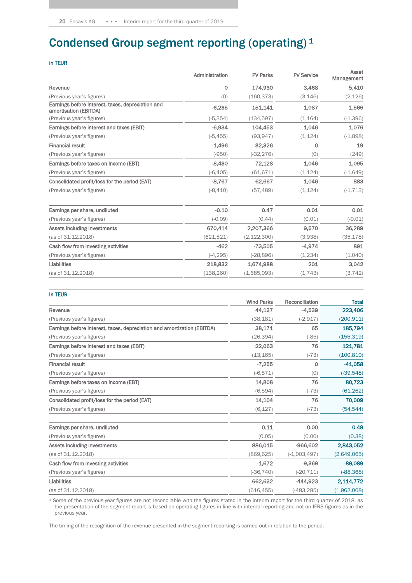# Condensed Group segment reporting (operating) 1

| Administration | <b>PV Parks</b> | <b>PV Service</b> | <b>Asset</b><br>Management |
|----------------|-----------------|-------------------|----------------------------|
| $\mathbf 0$    | 174,930         | 3,468             | 5,410                      |
| (0)            | (160, 373)      | (3, 146)          | (2, 126)                   |
| $-6,235$       | 151,141         | 1,087             | 1,566                      |
| $(-5, 354)$    | (134, 597)      | (1, 164)          | $(-1, 396)$                |
| $-6,934$       | 104,453         | 1.046             | 1,076                      |
| $(-5, 455)$    | (93, 947)       | (1, 124)          | $(-1,898)$                 |
| $-1.496$       | $-32.326$       | $\circ$           | 19                         |
| $(-950)$       | $(-32, 276)$    | (0)               | (249)                      |
| $-8,430$       | 72,128          | 1,046             | 1,095                      |
| $(-6, 405)$    | (61, 671)       | (1, 124)          | $(-1, 649)$                |
| $-8,767$       | 62,667          | 1.046             | 883                        |
| $(-8, 410)$    | (57, 489)       | (1, 124)          | $(-1, 713)$                |
| $-0.10$        | 0.47            | 0.01              | 0.01                       |
| $(-0.09)$      | (0.44)          | (0.01)            | $(-0.01)$                  |
| 670,414        | 2,207,366       | 9.570             | 36,289                     |
| (621, 521)     | (2, 122, 300)   | (3,938)           | (35, 178)                  |
| $-462$         | $-73,505$       | $-4,974$          | 891                        |
| $(-4, 295)$    | $(-28, 896)$    | (1,234)           | (1,040)                    |
| 218,832        | 1,674,988       | 201               | 3,042                      |
| (138, 260)     | (1,685,093)     | (1,743)           | (3, 742)                   |
|                |                 |                   |                            |

#### In TEUR

|                                                                         | <b>Wind Parks</b> | Reconciliation | <b>Total</b> |
|-------------------------------------------------------------------------|-------------------|----------------|--------------|
| Revenue                                                                 | 44,137            | $-4,539$       | 223,406      |
| (Previous year's figures)                                               | (38, 181)         | $(-2,917)$     | (200, 911)   |
| Earnings before interest, taxes, depreciation and amortization (EBITDA) | 38,171            | 65             | 185,794      |
| (Previous year's figures)                                               | (26, 394)         | $(-85)$        | (155, 319)   |
| Earnings before interest and taxes (EBIT)                               | 22,063            | 76             | 121,781      |
| (Previous year's figures)                                               | (13, 165)         | $(-73)$        | (100, 810)   |
| <b>Financial result</b>                                                 | $-7,255$          | $\circ$        | $-41,058$    |
| (Previous year's figures)                                               | $(-6, 571)$       | (0)            | $(-39,548)$  |
| Earnings before taxes on income (EBT)                                   | 14,808            | 76             | 80,723       |
| (Previous year's figures)                                               | (6,594)           | $(-73)$        | (61, 262)    |
| Consolidated profit/loss for the period (EAT)                           | 14,104            | 76             | 70,009       |
| (Previous year's figures)                                               | (6, 127)          | $(-73)$        | (54, 544)    |
|                                                                         |                   |                |              |
| Earnings per share, undiluted                                           | 0.11              | 0.00           | 0.49         |
| (Previous year's figures)                                               | (0.05)            | (0.00)         | (0.38)       |
| Assets including investments                                            | 886,015           | $-966,602$     | 2,843,052    |
| (as of 31.12.2018)                                                      | (869, 625)        | $(-1,003,497)$ | (2,649,065)  |
| Cash flow from investing activities                                     | $-1,672$          | $-9,369$       | $-89,089$    |
| (Previous year's figures)                                               | $(-36, 740)$      | $(-20, 711)$   | $(-88,368)$  |
| Liabilities                                                             | 662,632           | $-444,923$     | 2,114,772    |
| (as of 31.12.2018)                                                      | (616, 455)        | $(-483, 285)$  | (1,962,008)  |

<sup>1</sup> Some of the previous-year figures are not reconcilable with the figures stated in the interim report for the third quarter of 2018, as the presentation of the segment report is based on operating figures in line with internal reporting and not on IFRS figures as in the previous year.

The timing of the recognition of the revenue presented in the segment reporting is carried out in relation to the period.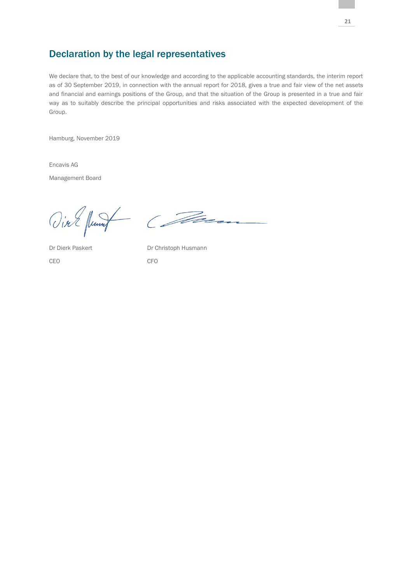# Declaration by the legal representatives

We declare that, to the best of our knowledge and according to the applicable accounting standards, the interim report as of 30 September 2019, in connection with the annual report for 2018, gives a true and fair view of the net assets and financial and earnings positions of the Group, and that the situation of the Group is presented in a true and fair way as to suitably describe the principal opportunities and risks associated with the expected development of the Group.

Hamburg, November 2019

Encavis AG Management Board

Vin E funny Com

CEO CFO

Dr Dierk Paskert Dr Christoph Husmann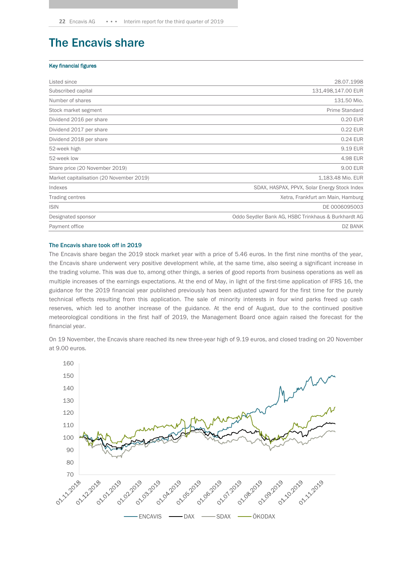# The Encavis share

#### Key financial figures

| Listed since                             | 28.07.1998                                          |  |
|------------------------------------------|-----------------------------------------------------|--|
| Subscribed capital                       | 131,498,147.00 EUR                                  |  |
| Number of shares                         | 131.50 Mio.                                         |  |
| Stock market segment                     | Prime Standard                                      |  |
| Dividend 2016 per share                  | 0.20 EUR                                            |  |
| Dividend 2017 per share                  | 0.22 EUR                                            |  |
| Dividend 2018 per share                  | 0.24 EUR                                            |  |
| 52-week high                             | 9.19 EUR                                            |  |
| 52-week low                              | 4.98 EUR                                            |  |
| Share price (20 November 2019)           | 9.00 EUR                                            |  |
| Market capitalisation (20 November 2019) | 1,183.48 Mio. EUR                                   |  |
| Indexes                                  | SDAX, HASPAX, PPVX, Solar Energy Stock Index        |  |
| Trading centres                          | Xetra, Frankfurt am Main, Hamburg                   |  |
| <b>ISIN</b>                              | DE 0006095003                                       |  |
| Designated sponsor                       | Oddo Seydler Bank AG, HSBC Trinkhaus & Burkhardt AG |  |
| Payment office                           | DZ BANK                                             |  |

#### The Encavis share took off in 2019

The Encavis share began the 2019 stock market year with a price of 5.46 euros. In the first nine months of the year, the Encavis share underwent very positive development while, at the same time, also seeing a significant increase in the trading volume. This was due to, among other things, a series of good reports from business operations as well as multiple increases of the earnings expectations. At the end of May, in light of the first-time application of IFRS 16, the guidance for the 2019 financial year published previously has been adjusted upward for the first time for the purely technical effects resulting from this application. The sale of minority interests in four wind parks freed up cash reserves, which led to another increase of the guidance. At the end of August, due to the continued positive meteorological conditions in the first half of 2019, the Management Board once again raised the forecast for the financial year.

On 19 November, the Encavis share reached its new three-year high of 9.19 euros, and closed trading on 20 November at 9.00 euros.

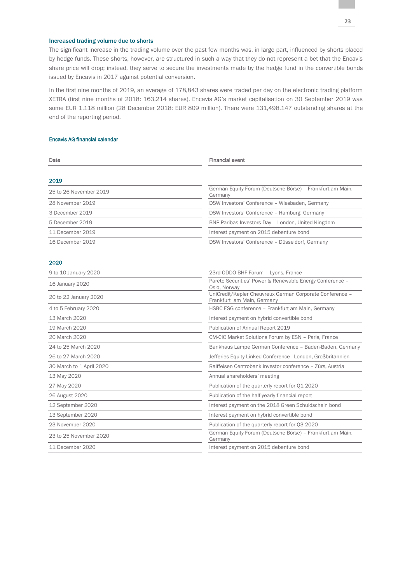#### Increased trading volume due to shorts

The significant increase in the trading volume over the past few months was, in large part, influenced by shorts placed by hedge funds. These shorts, however, are structured in such a way that they do not represent a bet that the Encavis share price will drop; instead, they serve to secure the investments made by the hedge fund in the convertible bonds issued by Encavis in 2017 against potential conversion.

In the first nine months of 2019, an average of 178,843 shares were traded per day on the electronic trading platform XETRA (first nine months of 2018: 163,214 shares). Encavis AG's market capitalisation on 30 September 2019 was some EUR 1,118 million (28 December 2018: EUR 809 million). There were 131,498,147 outstanding shares at the end of the reporting period.

#### Encavis AG financial calendar

| Date                     | <b>Financial event</b>                                                                 |  |  |
|--------------------------|----------------------------------------------------------------------------------------|--|--|
|                          |                                                                                        |  |  |
| 2019                     |                                                                                        |  |  |
| 25 to 26 November 2019   | German Equity Forum (Deutsche Börse) - Frankfurt am Main,<br>Germany                   |  |  |
| 28 November 2019         | DSW Investors' Conference - Wiesbaden, Germany                                         |  |  |
| 3 December 2019          | DSW Investors' Conference - Hamburg, Germany                                           |  |  |
| 5 December 2019          | BNP Paribas Investors Day - London, United Kingdom                                     |  |  |
| 11 December 2019         | Interest payment on 2015 debenture bond                                                |  |  |
| 16 December 2019         | DSW Investors' Conference - Düsseldorf, Germany                                        |  |  |
| 2020                     |                                                                                        |  |  |
| 9 to 10 January 2020     | 23rd ODDO BHF Forum - Lyons, France                                                    |  |  |
| 16 January 2020          | Pareto Securities' Power & Renewable Energy Conference -<br>Oslo, Norway               |  |  |
| 20 to 22 January 2020    | UniCredit/Kepler Cheuvreux German Corporate Conference -<br>Frankfurt am Main, Germany |  |  |
| 4 to 5 February 2020     | HSBC ESG conference - Frankfurt am Main, Germany                                       |  |  |
| 13 March 2020            | Interest payment on hybrid convertible bond                                            |  |  |
| 19 March 2020            | Publication of Annual Report 2019                                                      |  |  |
| 20 March 2020            | CM-CIC Market Solutions Forum by ESN - Paris, France                                   |  |  |
| 24 to 25 March 2020      | Bankhaus Lampe German Conference - Baden-Baden, Germany                                |  |  |
| 26 to 27 March 2020      | Jefferies Equity-Linked Conference - London, Großbritannien                            |  |  |
| 30 March to 1 April 2020 | Raiffeisen Centrobank investor conference - Zürs, Austria                              |  |  |
| 13 May 2020              | Annual shareholders' meeting                                                           |  |  |
| 27 May 2020              | Publication of the quarterly report for Q1 2020                                        |  |  |
| 26 August 2020           | Publication of the half-yearly financial report                                        |  |  |
| 12 September 2020        | Interest payment on the 2018 Green Schuldschein bond                                   |  |  |
| 13 September 2020        | Interest payment on hybrid convertible bond                                            |  |  |
| 23 November 2020         | Publication of the quarterly report for Q3 2020                                        |  |  |
| 23 to 25 November 2020   | German Equity Forum (Deutsche Börse) - Frankfurt am Main,<br>Germany                   |  |  |
| 11 December 2020         | Interest payment on 2015 debenture bond                                                |  |  |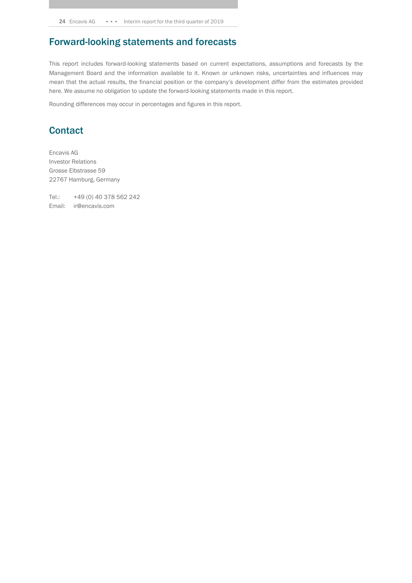# Forward-looking statements and forecasts

This report includes forward-looking statements based on current expectations, assumptions and forecasts by the Management Board and the information available to it. Known or unknown risks, uncertainties and influences may mean that the actual results, the financial position or the company's development differ from the estimates provided here. We assume no obligation to update the forward-looking statements made in this report.

Rounding differences may occur in percentages and figures in this report.

# **Contact**

Encavis AG Investor Relations Grosse Elbstrasse 59 22767 Hamburg, Germany

Tel.: +49 (0) 40 378 562 242 Email: ir@encavis.com